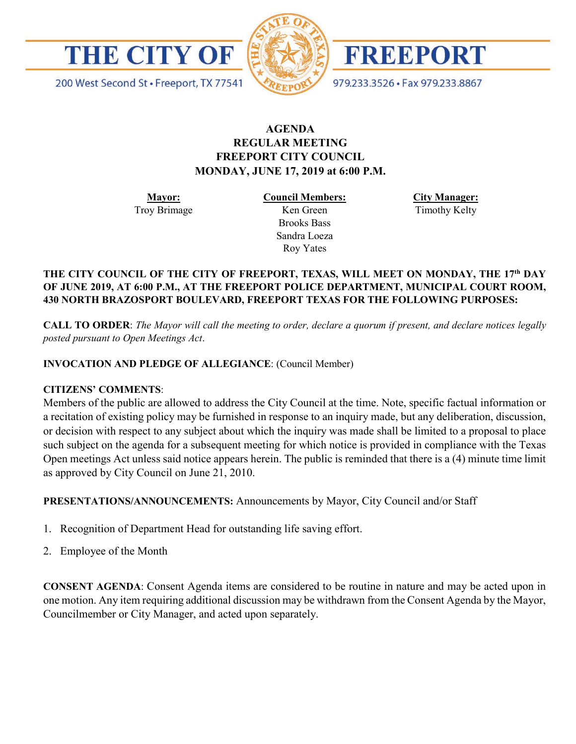



FREEPORT

979.233.3526 · Fax 979.233.8867

200 West Second St · Freeport, TX 77541

# **AGENDA REGULAR MEETING FREEPORT CITY COUNCIL MONDAY, JUNE 17, 2019 at 6:00 P.M.**

**Mayor:** Troy Brimage **Council Members:** Ken Green

> Brooks Bass Sandra Loeza Roy Yates

**City Manager:**

Timothy Kelty

#### **THE CITY COUNCIL OF THE CITY OF FREEPORT, TEXAS, WILL MEET ON MONDAY, THE 17th DAY OF JUNE 2019, AT 6:00 P.M., AT THE FREEPORT POLICE DEPARTMENT, MUNICIPAL COURT ROOM, 430 NORTH BRAZOSPORT BOULEVARD, FREEPORT TEXAS FOR THE FOLLOWING PURPOSES:**

**CALL TO ORDER**: *The Mayor will call the meeting to order, declare a quorum if present, and declare notices legally posted pursuant to Open Meetings Act*.

# **INVOCATION AND PLEDGE OF ALLEGIANCE**: (Council Member)

# **CITIZENS' COMMENTS**:

Members of the public are allowed to address the City Council at the time. Note, specific factual information or a recitation of existing policy may be furnished in response to an inquiry made, but any deliberation, discussion, or decision with respect to any subject about which the inquiry was made shall be limited to a proposal to place such subject on the agenda for a subsequent meeting for which notice is provided in compliance with the Texas Open meetings Act unless said notice appears herein. The public is reminded that there is a (4) minute time limit as approved by City Council on June 21, 2010.

**PRESENTATIONS/ANNOUNCEMENTS:** Announcements by Mayor, City Council and/or Staff

- 1. Recognition of Department Head for outstanding life saving effort.
- 2. Employee of the Month

**CONSENT AGENDA**: Consent Agenda items are considered to be routine in nature and may be acted upon in one motion. Any item requiring additional discussion may be withdrawn from the Consent Agenda by the Mayor, Councilmember or City Manager, and acted upon separately.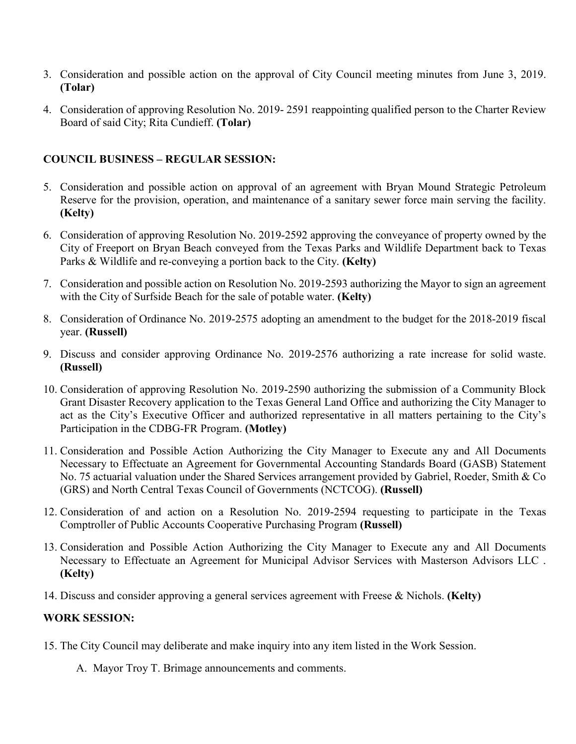- 3. Consideration and possible action on the approval of City Council meeting minutes from June 3, 2019. **(Tolar)**
- 4. Consideration of approving Resolution No. 2019- 2591 reappointing qualified person to the Charter Review Board of said City; Rita Cundieff. **(Tolar)**

# **COUNCIL BUSINESS – REGULAR SESSION:**

- 5. Consideration and possible action on approval of an agreement with Bryan Mound Strategic Petroleum Reserve for the provision, operation, and maintenance of a sanitary sewer force main serving the facility. **(Kelty)**
- 6. Consideration of approving Resolution No. 2019-2592 approving the conveyance of property owned by the City of Freeport on Bryan Beach conveyed from the Texas Parks and Wildlife Department back to Texas Parks & Wildlife and re-conveying a portion back to the City. **(Kelty)**
- 7. Consideration and possible action on Resolution No. 2019-2593 authorizing the Mayor to sign an agreement with the City of Surfside Beach for the sale of potable water. **(Kelty)**
- 8. Consideration of Ordinance No. 2019-2575 adopting an amendment to the budget for the 2018-2019 fiscal year. **(Russell)**
- 9. Discuss and consider approving Ordinance No. 2019-2576 authorizing a rate increase for solid waste. **(Russell)**
- 10. Consideration of approving Resolution No. 2019-2590 authorizing the submission of a Community Block Grant Disaster Recovery application to the Texas General Land Office and authorizing the City Manager to act as the City's Executive Officer and authorized representative in all matters pertaining to the City's Participation in the CDBG-FR Program. **(Motley)**
- 11. Consideration and Possible Action Authorizing the City Manager to Execute any and All Documents Necessary to Effectuate an Agreement for Governmental Accounting Standards Board (GASB) Statement No. 75 actuarial valuation under the Shared Services arrangement provided by Gabriel, Roeder, Smith & Co (GRS) and North Central Texas Council of Governments (NCTCOG). **(Russell)**
- 12. Consideration of and action on a Resolution No. 2019-2594 requesting to participate in the Texas Comptroller of Public Accounts Cooperative Purchasing Program **(Russell)**
- 13. Consideration and Possible Action Authorizing the City Manager to Execute any and All Documents Necessary to Effectuate an Agreement for Municipal Advisor Services with Masterson Advisors LLC . **(Kelty)**
- 14. Discuss and consider approving a general services agreement with Freese & Nichols. **(Kelty)**

# **WORK SESSION:**

- 15. The City Council may deliberate and make inquiry into any item listed in the Work Session.
	- A. Mayor Troy T. Brimage announcements and comments.